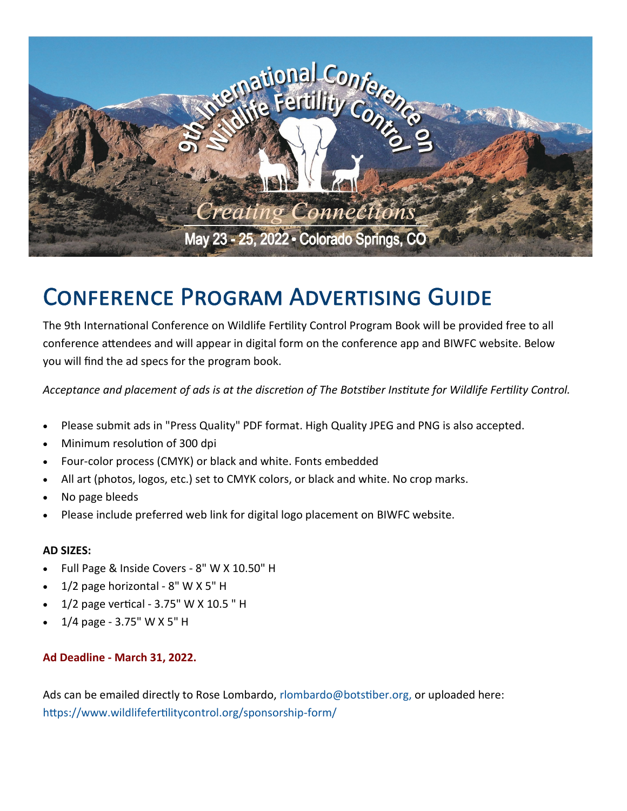

### **CONFERENCE PROGRAM ADVERTISING GUIDE**

The 9th International Conference on Wildlife Fertility Control Program Book will be provided free to all conference attendees and will appear in digital form on the conference app and BIWFC website. Below you will find the ad specs for the program book.

*Acceptance and placement of ads is at the discretion of The Botstiber Institute for Wildlife Fertility Control.*

- Please submit ads in "Press Quality" PDF format. High Quality JPEG and PNG is also accepted.
- Minimum resolution of 300 dpi
- Four-color process (CMYK) or black and white. Fonts embedded
- All art (photos, logos, etc.) set to CMYK colors, or black and white. No crop marks.
- No page bleeds
- Please include preferred web link for digital logo placement on BIWFC website.

#### **AD SIZES:**

- Full Page & Inside Covers 8" W X 10.50" H
- 1/2 page horizontal 8" W X 5" H
- 1/2 page vertical 3.75" W X 10.5 " H
- 1/4 page 3.75" W X 5" H

#### **Ad Deadline - March 31, 2022.**

Ads can be emailed directly to Rose Lombardo, rlombardo@botstiber.org, or uploaded here: https://www.wildlifefertilitycontrol.org/sponsorship-form/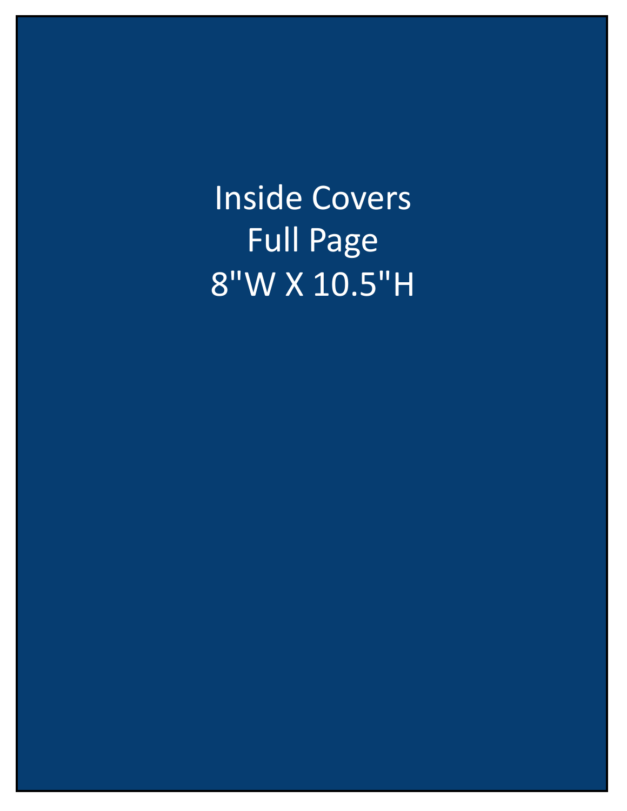Inside Covers Full Page 8"W X 10.5"H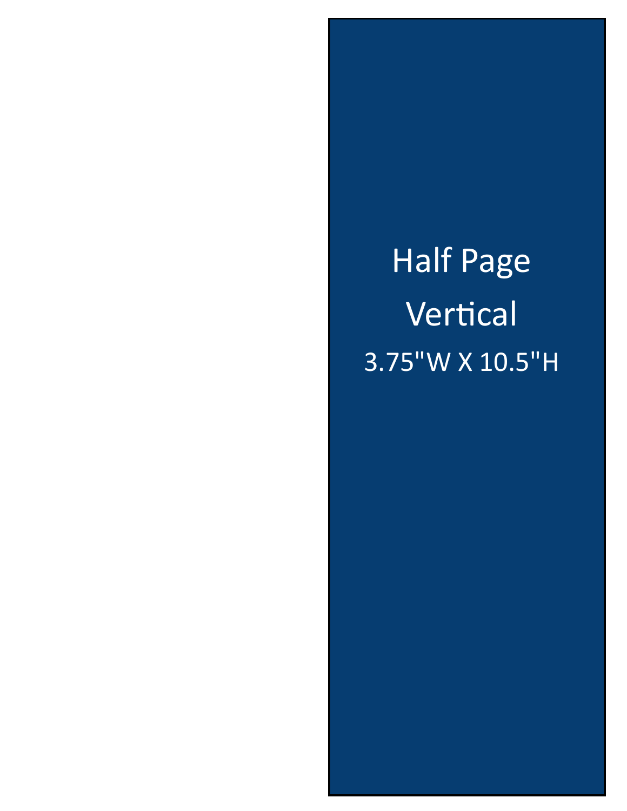Half Page Vertical 3.75"W X 10.5"H